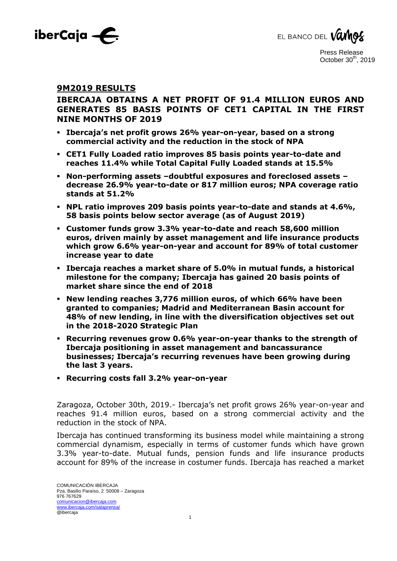



## **9M2019 RESULTS**

# **IBERCAJA OBTAINS A NET PROFIT OF 91.4 MILLION EUROS AND GENERATES 85 BASIS POINTS OF CET1 CAPITAL IN THE FIRST NINE MONTHS OF 2019**

- **Ibercaja's net profit grows 26% year-on-year, based on a strong commercial activity and the reduction in the stock of NPA**
- **CET1 Fully Loaded ratio improves 85 basis points year-to-date and reaches 11.4% while Total Capital Fully Loaded stands at 15.5%**
- **Non-performing assets –doubtful exposures and foreclosed assets – decrease 26.9% year-to-date or 817 million euros; NPA coverage ratio stands at 51.2%**
- **NPL ratio improves 209 basis points year-to-date and stands at 4.6%, 58 basis points below sector average (as of August 2019)**
- **Customer funds grow 3.3% year-to-date and reach 58,600 million euros, driven mainly by asset management and life insurance products which grow 6.6% year-on-year and account for 89% of total customer increase year to date**
- **Ibercaja reaches a market share of 5.0% in mutual funds, a historical milestone for the company; Ibercaja has gained 20 basis points of market share since the end of 2018**
- **New lending reaches 3,776 million euros, of which 66% have been granted to companies; Madrid and Mediterranean Basin account for 48% of new lending, in line with the diversification objectives set out in the 2018-2020 Strategic Plan**
- **Recurring revenues grow 0.6% year-on-year thanks to the strength of Ibercaja positioning in asset management and bancassurance businesses; Ibercaja's recurring revenues have been growing during the last 3 years.**
- **Recurring costs fall 3.2% year-on-year**

Zaragoza, October 30th, 2019.- Ibercaja's net profit grows 26% year-on-year and reaches 91.4 million euros, based on a strong commercial activity and the reduction in the stock of NPA.

Ibercaja has continued transforming its business model while maintaining a strong commercial dynamism, especially in terms of customer funds which have grown 3.3% year-to-date. Mutual funds, pension funds and life insurance products account for 89% of the increase in costumer funds. Ibercaja has reached a market

1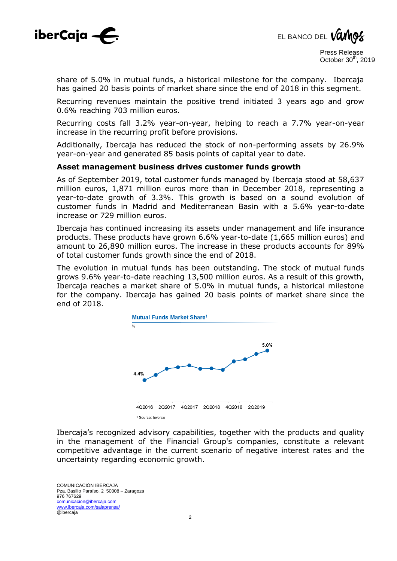



share of 5.0% in mutual funds, a historical milestone for the company. Ibercaja has gained 20 basis points of market share since the end of 2018 in this segment.

Recurring revenues maintain the positive trend initiated 3 years ago and grow 0.6% reaching 703 million euros.

Recurring costs fall 3.2% year-on-year, helping to reach a 7.7% year-on-year increase in the recurring profit before provisions.

Additionally, Ibercaja has reduced the stock of non-performing assets by 26.9% year-on-year and generated 85 basis points of capital year to date.

#### **Asset management business drives customer funds growth**

As of September 2019, total customer funds managed by Ibercaja stood at 58,637 million euros, 1,871 million euros more than in December 2018, representing a year-to-date growth of 3.3%. This growth is based on a sound evolution of customer funds in Madrid and Mediterranean Basin with a 5.6% year-to-date increase or 729 million euros.

Ibercaja has continued increasing its assets under management and life insurance products. These products have grown 6.6% year-to-date (1,665 million euros) and amount to 26,890 million euros. The increase in these products accounts for 89% of total customer funds growth since the end of 2018.

The evolution in mutual funds has been outstanding. The stock of mutual funds grows 9.6% year-to-date reaching 13,500 million euros. As a result of this growth, Ibercaja reaches a market share of 5.0% in mutual funds, a historical milestone for the company. Ibercaja has gained 20 basis points of market share since the end of 2018.



Ibercaja's recognized advisory capabilities, together with the products and quality in the management of the Financial Group's companies, constitute a relevant competitive advantage in the current scenario of negative interest rates and the uncertainty regarding economic growth.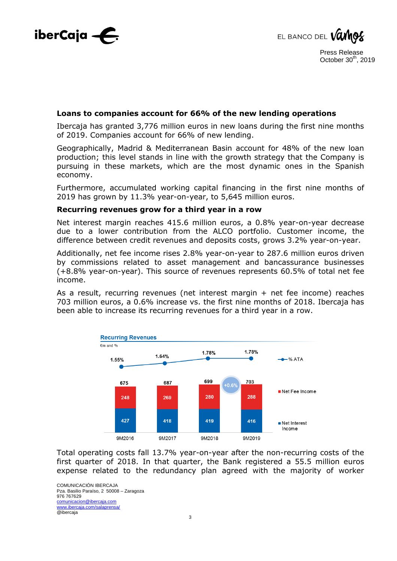



## **Loans to companies account for 66% of the new lending operations**

Ibercaja has granted 3,776 million euros in new loans during the first nine months of 2019. Companies account for 66% of new lending.

Geographically, Madrid & Mediterranean Basin account for 48% of the new loan production; this level stands in line with the growth strategy that the Company is pursuing in these markets, which are the most dynamic ones in the Spanish economy.

Furthermore, accumulated working capital financing in the first nine months of 2019 has grown by 11.3% year-on-year, to 5,645 million euros.

#### **Recurring revenues grow for a third year in a row**

Net interest margin reaches 415.6 million euros, a 0.8% year-on-year decrease due to a lower contribution from the ALCO portfolio. Customer income, the difference between credit revenues and deposits costs, grows 3.2% year-on-year.

Additionally, net fee income rises 2.8% year-on-year to 287.6 million euros driven by commissions related to asset management and bancassurance businesses (+8.8% year-on-year). This source of revenues represents 60.5% of total net fee income.

As a result, recurring revenues (net interest margin + net fee income) reaches 703 million euros, a 0.6% increase vs. the first nine months of 2018. Ibercaja has been able to increase its recurring revenues for a third year in a row.



Total operating costs fall 13.7% year-on-year after the non-recurring costs of the first quarter of 2018. In that quarter, the Bank registered a 55.5 million euros expense related to the redundancy plan agreed with the majority of worker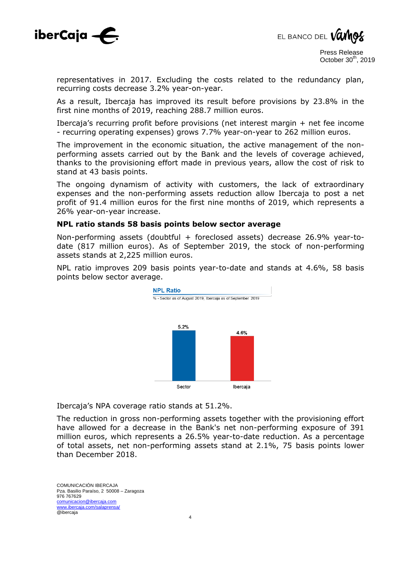



representatives in 2017. Excluding the costs related to the redundancy plan, recurring costs decrease 3.2% year-on-year.

As a result, Ibercaja has improved its result before provisions by 23.8% in the first nine months of 2019, reaching 288.7 million euros.

Ibercaja's recurring profit before provisions (net interest margin + net fee income - recurring operating expenses) grows 7.7% year-on-year to 262 million euros.

The improvement in the economic situation, the active management of the nonperforming assets carried out by the Bank and the levels of coverage achieved, thanks to the provisioning effort made in previous years, allow the cost of risk to stand at 43 basis points.

The ongoing dynamism of activity with customers, the lack of extraordinary expenses and the non-performing assets reduction allow Ibercaja to post a net profit of 91.4 million euros for the first nine months of 2019, which represents a 26% year-on-year increase.

#### **NPL ratio stands 58 basis points below sector average**

Non-performing assets (doubtful + foreclosed assets) decrease 26.9% year-todate (817 million euros). As of September 2019, the stock of non-performing assets stands at 2,225 million euros.

NPL ratio improves 209 basis points year-to-date and stands at 4.6%, 58 basis points below sector average.



Ibercaja's NPA coverage ratio stands at 51.2%.

The reduction in gross non-performing assets together with the provisioning effort have allowed for a decrease in the Bank's net non-performing exposure of 391 million euros, which represents a 26.5% year-to-date reduction. As a percentage of total assets, net non-performing assets stand at 2.1%, 75 basis points lower than December 2018.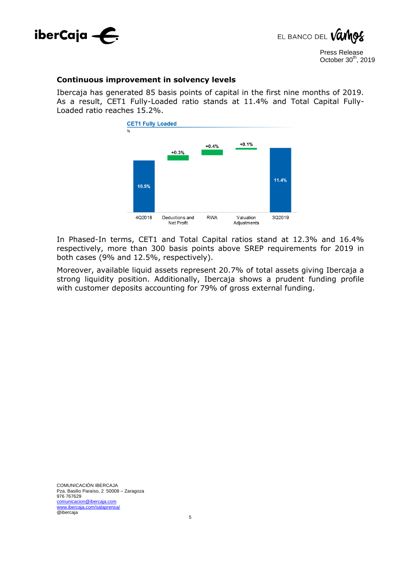



#### **Continuous improvement in solvency levels**

Ibercaja has generated 85 basis points of capital in the first nine months of 2019. As a result, CET1 Fully-Loaded ratio stands at 11.4% and Total Capital Fully-Loaded ratio reaches 15.2%.



In Phased-In terms, CET1 and Total Capital ratios stand at 12.3% and 16.4% respectively, more than 300 basis points above SREP requirements for 2019 in both cases (9% and 12.5%, respectively).

Moreover, available liquid assets represent 20.7% of total assets giving Ibercaja a strong liquidity position. Additionally, Ibercaja shows a prudent funding profile with customer deposits accounting for 79% of gross external funding.